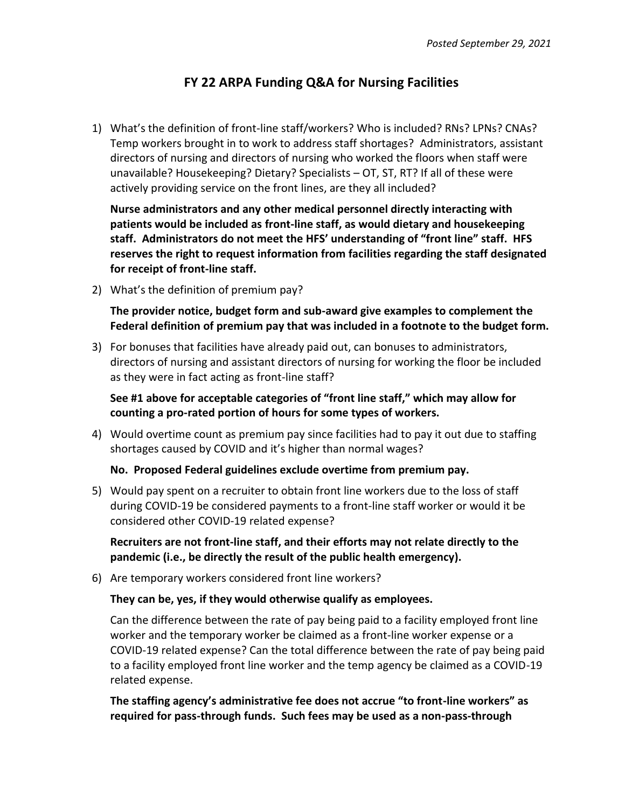## **FY 22 ARPA Funding Q&A for Nursing Facilities**

1) What's the definition of front-line staff/workers? Who is included? RNs? LPNs? CNAs? Temp workers brought in to work to address staff shortages? Administrators, assistant directors of nursing and directors of nursing who worked the floors when staff were unavailable? Housekeeping? Dietary? Specialists – OT, ST, RT? If all of these were actively providing service on the front lines, are they all included?

**Nurse administrators and any other medical personnel directly interacting with patients would be included as front-line staff, as would dietary and housekeeping staff. Administrators do not meet the HFS' understanding of "front line" staff. HFS reserves the right to request information from facilities regarding the staff designated for receipt of front-line staff.** 

2) What's the definition of premium pay?

**The provider notice, budget form and sub-award give examples to complement the Federal definition of premium pay that was included in a footnote to the budget form.**

3) For bonuses that facilities have already paid out, can bonuses to administrators, directors of nursing and assistant directors of nursing for working the floor be included as they were in fact acting as front-line staff?

**See #1 above for acceptable categories of "front line staff," which may allow for counting a pro-rated portion of hours for some types of workers.** 

4) Would overtime count as premium pay since facilities had to pay it out due to staffing shortages caused by COVID and it's higher than normal wages?

## **No. Proposed Federal guidelines exclude overtime from premium pay.**

5) Would pay spent on a recruiter to obtain front line workers due to the loss of staff during COVID-19 be considered payments to a front-line staff worker or would it be considered other COVID-19 related expense?

**Recruiters are not front-line staff, and their efforts may not relate directly to the pandemic (i.e., be directly the result of the public health emergency).** 

6) Are temporary workers considered front line workers?

## **They can be, yes, if they would otherwise qualify as employees.**

Can the difference between the rate of pay being paid to a facility employed front line worker and the temporary worker be claimed as a front-line worker expense or a COVID-19 related expense? Can the total difference between the rate of pay being paid to a facility employed front line worker and the temp agency be claimed as a COVID-19 related expense.

**The staffing agency's administrative fee does not accrue "to front-line workers" as required for pass-through funds. Such fees may be used as a non-pass-through**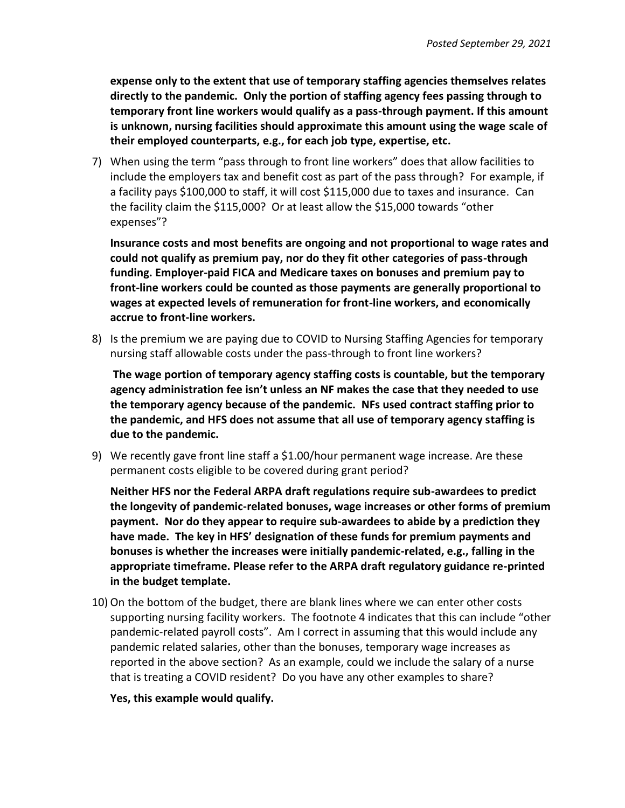**expense only to the extent that use of temporary staffing agencies themselves relates directly to the pandemic. Only the portion of staffing agency fees passing through to temporary front line workers would qualify as a pass-through payment. If this amount is unknown, nursing facilities should approximate this amount using the wage scale of their employed counterparts, e.g., for each job type, expertise, etc.**

7) When using the term "pass through to front line workers" does that allow facilities to include the employers tax and benefit cost as part of the pass through? For example, if a facility pays \$100,000 to staff, it will cost \$115,000 due to taxes and insurance. Can the facility claim the \$115,000? Or at least allow the \$15,000 towards "other expenses"?

**Insurance costs and most benefits are ongoing and not proportional to wage rates and could not qualify as premium pay, nor do they fit other categories of pass-through funding. Employer-paid FICA and Medicare taxes on bonuses and premium pay to front-line workers could be counted as those payments are generally proportional to wages at expected levels of remuneration for front-line workers, and economically accrue to front-line workers.** 

8) Is the premium we are paying due to COVID to Nursing Staffing Agencies for temporary nursing staff allowable costs under the pass-through to front line workers?

**The wage portion of temporary agency staffing costs is countable, but the temporary agency administration fee isn't unless an NF makes the case that they needed to use the temporary agency because of the pandemic. NFs used contract staffing prior to the pandemic, and HFS does not assume that all use of temporary agency staffing is due to the pandemic.**

9) We recently gave front line staff a \$1.00/hour permanent wage increase. Are these permanent costs eligible to be covered during grant period?

**Neither HFS nor the Federal ARPA draft regulations require sub-awardees to predict the longevity of pandemic-related bonuses, wage increases or other forms of premium payment. Nor do they appear to require sub-awardees to abide by a prediction they have made. The key in HFS' designation of these funds for premium payments and bonuses is whether the increases were initially pandemic-related, e.g., falling in the appropriate timeframe. Please refer to the ARPA draft regulatory guidance re-printed in the budget template.**

10) On the bottom of the budget, there are blank lines where we can enter other costs supporting nursing facility workers. The footnote 4 indicates that this can include "other pandemic-related payroll costs". Am I correct in assuming that this would include any pandemic related salaries, other than the bonuses, temporary wage increases as reported in the above section? As an example, could we include the salary of a nurse that is treating a COVID resident? Do you have any other examples to share?

**Yes, this example would qualify.**